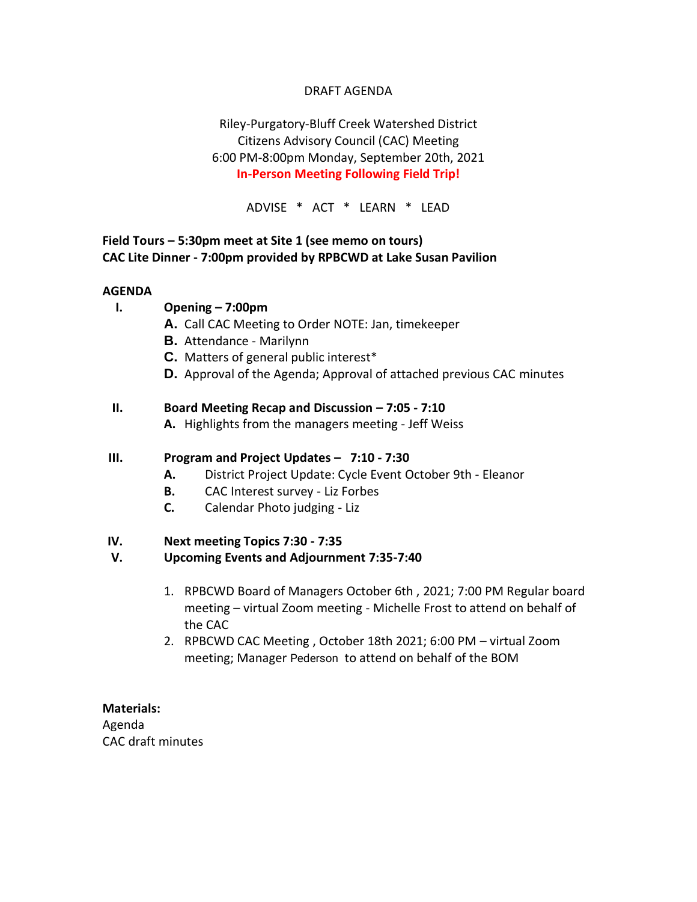## DRAFT AGENDA

# Riley-Purgatory-Bluff Creek Watershed District Citizens Advisory Council (CAC) Meeting 6:00 PM-8:00pm Monday, September 20th, 2021 **In-Person Meeting Following Field Trip!**

ADVISE \* ACT \* LEARN \* LEAD

## **Field Tours – 5:30pm meet at Site 1 (see memo on tours) CAC Lite Dinner - 7:00pm provided by RPBCWD at Lake Susan Pavilion**

#### **AGENDA**

- **I. Opening – 7:00pm**
	- **A.** Call CAC Meeting to Order NOTE: Jan, timekeeper
	- **B.** Attendance Marilynn
	- **C.** Matters of general public interest\*
	- **D.** Approval of the Agenda; Approval of attached previous CAC minutes

### **II. Board Meeting Recap and Discussion – 7:05 - 7:10**

**A.** Highlights from the managers meeting - Jeff Weiss

#### **III. Program and Project Updates – 7:10 - 7:30**

- **A.** District Project Update: Cycle Event October 9th Eleanor
- **B.** CAC Interest survey Liz Forbes
- **C.** Calendar Photo judging Liz

#### **IV. Next meeting Topics 7:30 - 7:35**

### **V. Upcoming Events and Adjournment 7:35-7:40**

- 1. RPBCWD Board of Managers October 6th , 2021; 7:00 PM Regular board meeting – virtual Zoom meeting - Michelle Frost to attend on behalf of the CAC
- 2. RPBCWD CAC Meeting , October 18th 2021; 6:00 PM virtual Zoom meeting; Manager Pederson to attend on behalf of the BOM

#### **Materials:**

Agenda CAC draft minutes